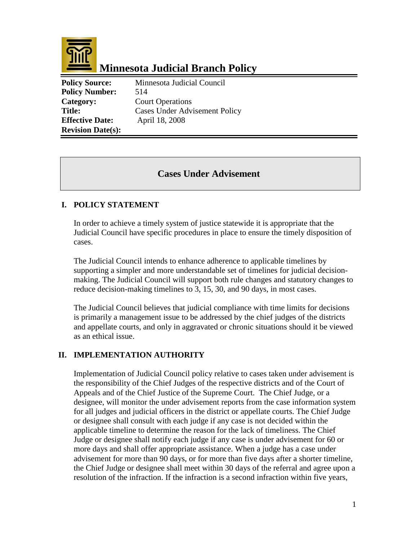

# **Minnesota Judicial Branch Policy**

**Policy Number:** 514 **Category:** Court Operations **Effective Date:** April 18, 2008 **Revision Date(s):**

**Policy Source:** Minnesota Judicial Council Title: Cases Under Advisement Policy

## **Cases Under Advisement**

#### **I. POLICY STATEMENT**

In order to achieve a timely system of justice statewide it is appropriate that the Judicial Council have specific procedures in place to ensure the timely disposition of cases.

The Judicial Council intends to enhance adherence to applicable timelines by supporting a simpler and more understandable set of timelines for judicial decisionmaking. The Judicial Council will support both rule changes and statutory changes to reduce decision-making timelines to 3, 15, 30, and 90 days, in most cases.

The Judicial Council believes that judicial compliance with time limits for decisions is primarily a management issue to be addressed by the chief judges of the districts and appellate courts, and only in aggravated or chronic situations should it be viewed as an ethical issue.

#### **II. IMPLEMENTATION AUTHORITY**

Implementation of Judicial Council policy relative to cases taken under advisement is the responsibility of the Chief Judges of the respective districts and of the Court of Appeals and of the Chief Justice of the Supreme Court. The Chief Judge, or a designee, will monitor the under advisement reports from the case information system for all judges and judicial officers in the district or appellate courts. The Chief Judge or designee shall consult with each judge if any case is not decided within the applicable timeline to determine the reason for the lack of timeliness. The Chief Judge or designee shall notify each judge if any case is under advisement for 60 or more days and shall offer appropriate assistance. When a judge has a case under advisement for more than 90 days, or for more than five days after a shorter timeline, the Chief Judge or designee shall meet within 30 days of the referral and agree upon a resolution of the infraction. If the infraction is a second infraction within five years,